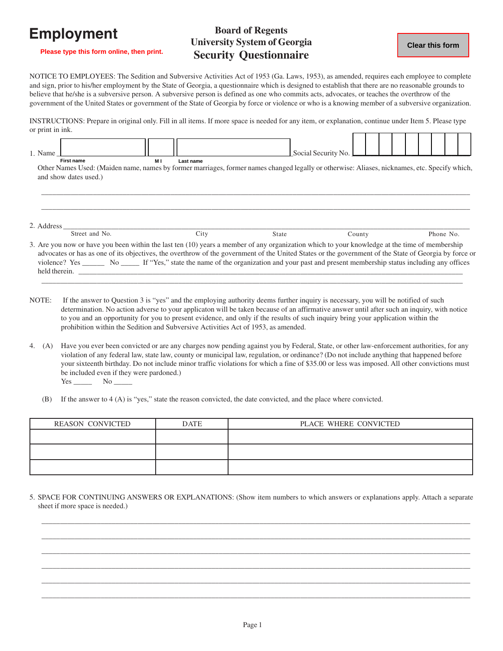## **Employment**

## **Board of Regents University System of Georgia Security Questionnaire**

**Please type this form online, then print.**

## NOTICE TO EMPLOYEES: The Sedition and Subversive Activities Act of 1953 (Ga. Laws, 1953), as amended, requires each employee to complete and sign, prior to his/her employment by the State of Georgia, a questionnaire which is designed to establish that there are no reasonable grounds to believe that he/she is a subversive person. A subversive person is defined as one who commits acts, advocates, or teaches the overthrow of the government of the United States or government of the State of Georgia by force or violence or who is a knowing member of a subversive organization.

INSTRUCTIONS: Prepare in original only. Fill in all items. If more space is needed for any item, or explanation, continue under Item 5. Please type or print in ink. г  $\top$ Τ

| 1. Name    |                                                                                                                                                       |     |           |              | Social Security No. |        |  |           |  |
|------------|-------------------------------------------------------------------------------------------------------------------------------------------------------|-----|-----------|--------------|---------------------|--------|--|-----------|--|
|            | <b>First name</b>                                                                                                                                     | M I | Last name |              |                     |        |  |           |  |
|            | Other Names Used: (Maiden name, names by former marriages, former names changed legally or otherwise: Aliases, nicknames, etc. Specify which,         |     |           |              |                     |        |  |           |  |
|            | and show dates used.)                                                                                                                                 |     |           |              |                     |        |  |           |  |
|            |                                                                                                                                                       |     |           |              |                     |        |  |           |  |
|            |                                                                                                                                                       |     |           |              |                     |        |  |           |  |
|            |                                                                                                                                                       |     |           |              |                     |        |  |           |  |
|            |                                                                                                                                                       |     |           |              |                     |        |  |           |  |
| 2. Address |                                                                                                                                                       |     |           |              |                     |        |  |           |  |
|            | Street and No.                                                                                                                                        |     | City      | <b>State</b> |                     | County |  | Phone No. |  |
|            | 3. Are you now or have you been within the last ten (10) years a member of any organization which to your knowledge at the time of membership         |     |           |              |                     |        |  |           |  |
|            | advocates or has as one of its objectives, the overthrow of the government of the United States or the government of the State of Georgia by force or |     |           |              |                     |        |  |           |  |
|            | violence? Yes No If "Yes," state the name of the organization and your past and present membership status including any offices                       |     |           |              |                     |        |  |           |  |

NOTE: If the answer to Question 3 is "yes" and the employing authority deems further inquiry is necessary, you will be notified of such determination. No action adverse to your applicaton will be taken because of an affirmative answer until after such an inquiry, with notice to you and an opportunity for you to present evidence, and only if the results of such inquiry bring your application within the prohibition within the Sedition and Subversive Activities Act of 1953, as amended.

held therein. \_\_\_\_\_\_\_\_\_\_\_\_\_\_\_\_\_\_\_\_\_\_\_\_\_\_\_\_\_\_\_\_\_\_\_\_\_\_\_\_\_\_\_\_\_\_\_\_\_\_\_\_\_\_\_\_\_\_\_\_\_\_\_\_\_\_\_\_\_\_\_\_\_\_\_\_\_\_\_\_\_\_\_\_\_\_\_\_\_\_\_\_\_\_\_\_\_\_\_\_\_\_\_\_  $\Box$ 

- 4. (A) Have you ever been convicted or are any charges now pending against you by Federal, State, or other law-enforcement authorities, for any violation of any federal law, state law, county or municipal law, regulation, or ordinance? (Do not include anything that happened before your sixteenth birthday. Do not include minor traffic violations for which a fine of \$35.00 or less was imposed. All other convictions must be included even if they were pardoned.) Yes No No
	- (B) If the answer to 4 (A) is "yes," state the reason convicted, the date convicted, and the place where convicted.

| <b>REASON CONVICTED</b> | <b>DATE</b> | PLACE WHERE CONVICTED |  |  |  |
|-------------------------|-------------|-----------------------|--|--|--|
|                         |             |                       |  |  |  |
|                         |             |                       |  |  |  |
|                         |             |                       |  |  |  |

5. SPACE FOR CONTINUING ANSWERS OR EXPLANATIONS: (Show item numbers to which answers or explanations apply. Attach a separate sheet if more space is needed.)

 $\Box$  . The contribution of the contribution of the contribution of the contribution of the contribution of the contribution of the contribution of the contribution of the contribution of the contribution of the contributi  $\Box$  . The contribution of the contribution of the contribution of the contribution of the contribution of the contribution of the contribution of the contribution of the contribution of the contribution of the contributi  $\Box$  . The contribution of the contribution of the contribution of the contribution of the contribution of the contribution of the contribution of the contribution of the contribution of the contribution of the contributi  $\Box$  . The contribution of the contribution of the contribution of the contribution of the contribution of the contribution of the contribution of the contribution of the contribution of the contribution of the contributi  $\Box$  . The contribution of the contribution of the contribution of the contribution of the contribution of the contribution of the contribution of the contribution of the contribution of the contribution of the contributi  $\Box$  . The contribution of the contribution of the contribution of the contribution of the contribution of the contribution of the contribution of the contribution of the contribution of the contribution of the contributi